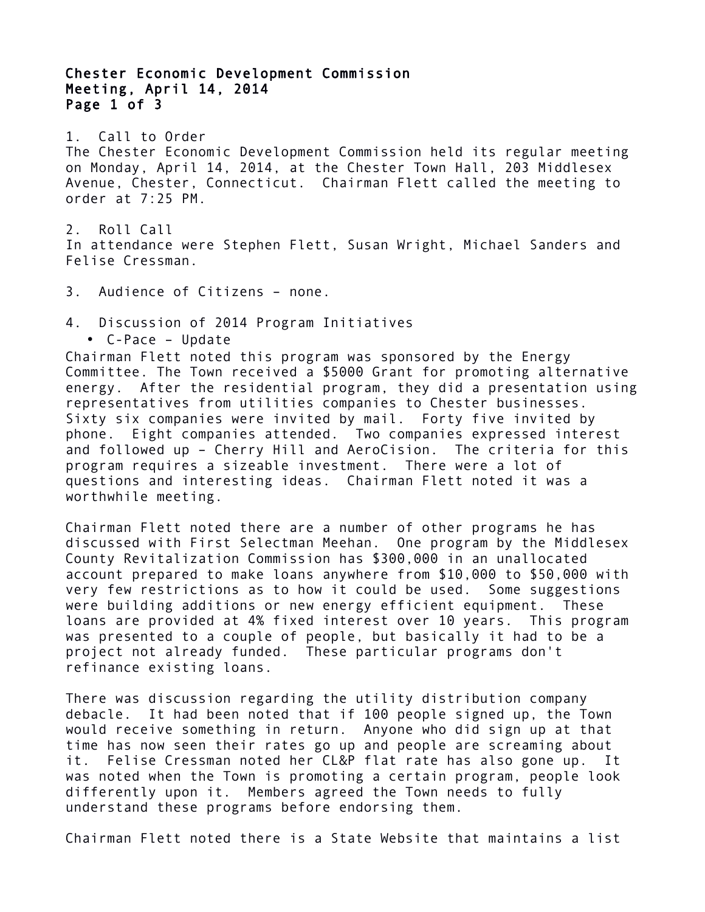## Chester Economic Development Commission Meeting, April 14, 2014 Page 1 of 3

1. Call to Order The Chester Economic Development Commission held its regular meeting on Monday, April 14, 2014, at the Chester Town Hall, 203 Middlesex Avenue, Chester, Connecticut. Chairman Flett called the meeting to order at 7:25 PM.

2. Roll Call In attendance were Stephen Flett, Susan Wright, Michael Sanders and Felise Cressman.

3. Audience of Citizens – none.

4. Discussion of 2014 Program Initiatives

• C-Pace – Update

Chairman Flett noted this program was sponsored by the Energy Committee. The Town received a \$5000 Grant for promoting alternative energy. After the residential program, they did a presentation using representatives from utilities companies to Chester businesses. Sixty six companies were invited by mail. Forty five invited by phone. Eight companies attended. Two companies expressed interest and followed up – Cherry Hill and AeroCision. The criteria for this program requires a sizeable investment. There were a lot of questions and interesting ideas. Chairman Flett noted it was a worthwhile meeting.

Chairman Flett noted there are a number of other programs he has discussed with First Selectman Meehan. One program by the Middlesex County Revitalization Commission has \$300,000 in an unallocated account prepared to make loans anywhere from \$10,000 to \$50,000 with very few restrictions as to how it could be used. Some suggestions were building additions or new energy efficient equipment. These loans are provided at 4% fixed interest over 10 years. This program was presented to a couple of people, but basically it had to be a project not already funded. These particular programs don't refinance existing loans.

There was discussion regarding the utility distribution company debacle. It had been noted that if 100 people signed up, the Town would receive something in return. Anyone who did sign up at that time has now seen their rates go up and people are screaming about it. Felise Cressman noted her CL&P flat rate has also gone up. It was noted when the Town is promoting a certain program, people look differently upon it. Members agreed the Town needs to fully understand these programs before endorsing them.

Chairman Flett noted there is a State Website that maintains a list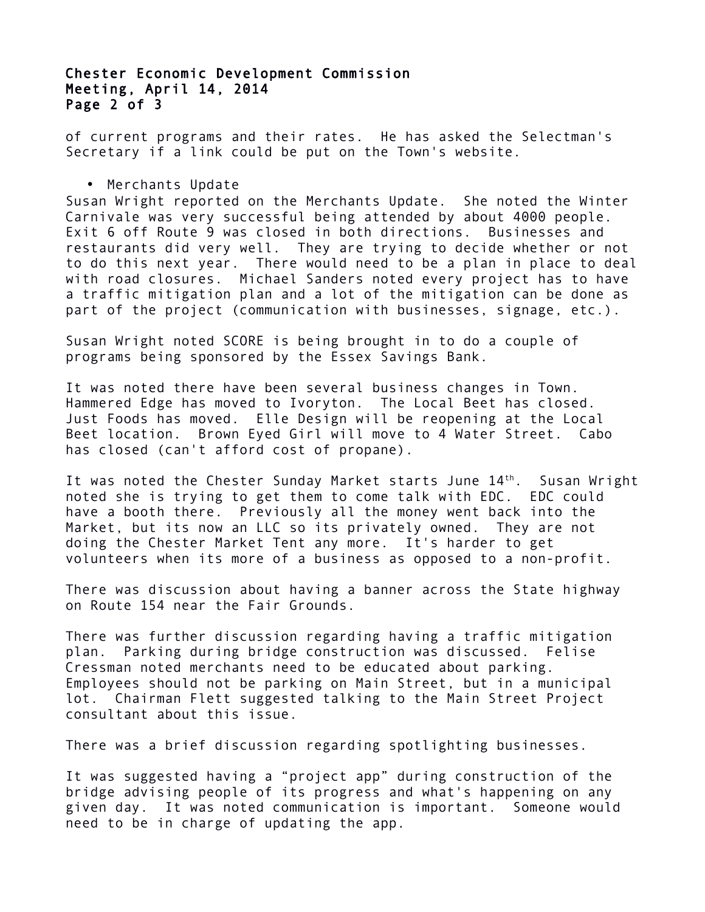## Chester Economic Development Commission Meeting, April 14, 2014 Page 2 of 3

of current programs and their rates. He has asked the Selectman's Secretary if a link could be put on the Town's website.

• Merchants Update

Susan Wright reported on the Merchants Update. She noted the Winter Carnivale was very successful being attended by about 4000 people. Exit 6 off Route 9 was closed in both directions. Businesses and restaurants did very well. They are trying to decide whether or not to do this next year. There would need to be a plan in place to deal with road closures. Michael Sanders noted every project has to have a traffic mitigation plan and a lot of the mitigation can be done as part of the project (communication with businesses, signage, etc.).

Susan Wright noted SCORE is being brought in to do a couple of programs being sponsored by the Essex Savings Bank.

It was noted there have been several business changes in Town. Hammered Edge has moved to Ivoryton. The Local Beet has closed. Just Foods has moved. Elle Design will be reopening at the Local Beet location. Brown Eyed Girl will move to 4 Water Street. Cabo has closed (can't afford cost of propane).

It was noted the Chester Sunday Market starts June 14<sup>th</sup>. Susan Wright noted she is trying to get them to come talk with EDC. EDC could have a booth there. Previously all the money went back into the Market, but its now an LLC so its privately owned. They are not doing the Chester Market Tent any more. It's harder to get volunteers when its more of a business as opposed to a non-profit.

There was discussion about having a banner across the State highway on Route 154 near the Fair Grounds.

There was further discussion regarding having a traffic mitigation plan. Parking during bridge construction was discussed. Felise Cressman noted merchants need to be educated about parking. Employees should not be parking on Main Street, but in a municipal lot. Chairman Flett suggested talking to the Main Street Project consultant about this issue.

There was a brief discussion regarding spotlighting businesses.

It was suggested having a "project app" during construction of the bridge advising people of its progress and what's happening on any given day. It was noted communication is important. Someone would need to be in charge of updating the app.